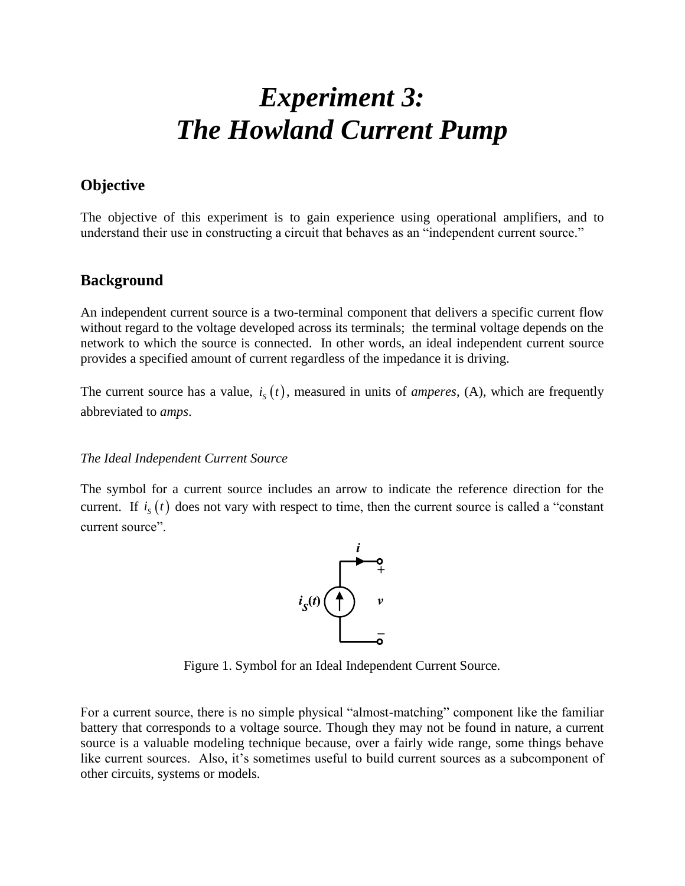# *Experiment 3: The Howland Current Pump*

#### **Objective**

The objective of this experiment is to gain experience using operational amplifiers, and to understand their use in constructing a circuit that behaves as an "independent current source."

#### **Background**

An independent current source is a two-terminal component that delivers a specific current flow without regard to the voltage developed across its terminals; the terminal voltage depends on the network to which the source is connected. In other words, an ideal independent current source provides a specified amount of current regardless of the impedance it is driving.

The current source has a value,  $i_s(t)$ , measured in units of *amperes*, (A), which are frequently abbreviated to *amps*.

#### *The Ideal Independent Current Source*

The symbol for a current source includes an arrow to indicate the reference direction for the current. If  $i_s(t)$  does not vary with respect to time, then the current source is called a "constant" current source".



Figure 1. Symbol for an Ideal Independent Current Source.

For a current source, there is no simple physical "almost-matching" component like the familiar battery that corresponds to a voltage source. Though they may not be found in nature, a current source is a valuable modeling technique because, over a fairly wide range, some things behave like current sources. Also, it's sometimes useful to build current sources as a subcomponent of other circuits, systems or models.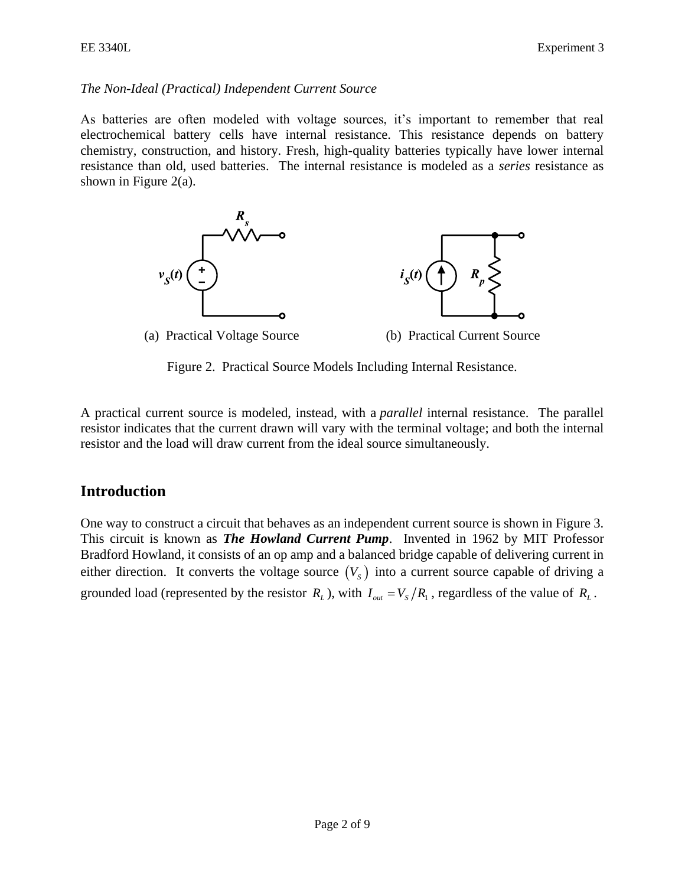#### *The Non-Ideal (Practical) Independent Current Source*

As batteries are often modeled with voltage sources, it's important to remember that real electrochemical battery cells have internal resistance. This resistance depends on battery chemistry, construction, and history. Fresh, high-quality batteries typically have lower internal resistance than old, used batteries. The internal resistance is modeled as a *series* resistance as shown in Figure 2(a).



Figure 2. Practical Source Models Including Internal Resistance.

A practical current source is modeled, instead, with a *parallel* internal resistance. The parallel resistor indicates that the current drawn will vary with the terminal voltage; and both the internal resistor and the load will draw current from the ideal source simultaneously.

## **Introduction**

One way to construct a circuit that behaves as an independent current source is shown in Figure 3. This circuit is known as *The Howland Current Pump*. Invented in 1962 by MIT Professor Bradford Howland, it consists of an op amp and a balanced bridge capable of delivering current in either direction. It converts the voltage source  $(V<sub>S</sub>)$  into a current source capable of driving a grounded load (represented by the resistor  $R_L$ ), with  $I_{out} = V_s / R_i$ , regardless of the value of  $R_L$ .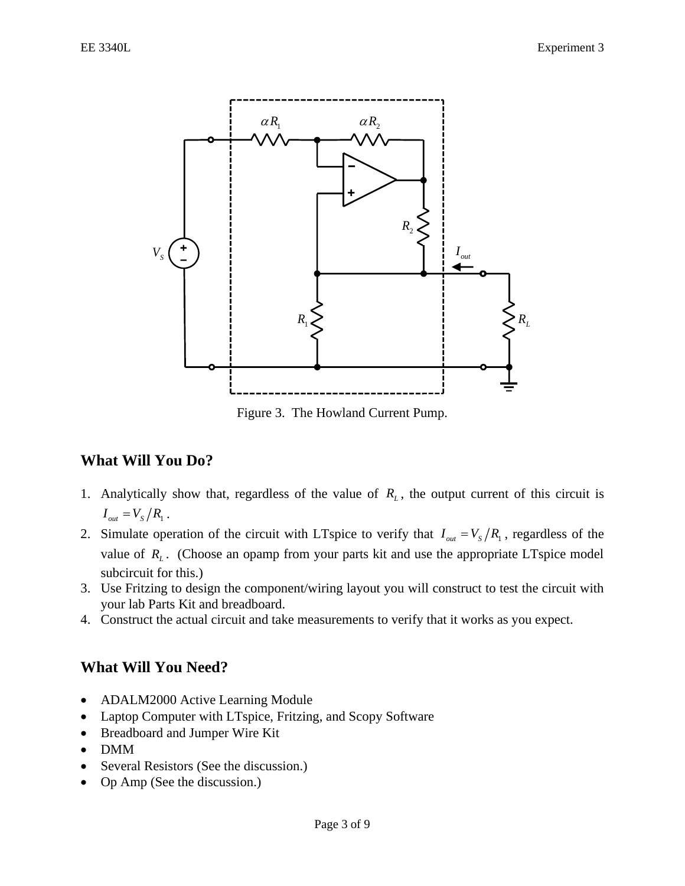

Figure 3. The Howland Current Pump.

## **What Will You Do?**

- 1. Analytically show that, regardless of the value of  $R_L$ , the output current of this circuit is  $I_{out} = V_{S}/R_{1}$ .
- 2. Simulate operation of the circuit with LTspice to verify that  $I_{out} = V_s/R_i$ , regardless of the value of  $R_L$ . (Choose an opamp from your parts kit and use the appropriate LTspice model subcircuit for this.)
- 3. Use Fritzing to design the component/wiring layout you will construct to test the circuit with your lab Parts Kit and breadboard.
- 4. Construct the actual circuit and take measurements to verify that it works as you expect.

## **What Will You Need?**

- ADALM2000 Active Learning Module
- Laptop Computer with LTspice, Fritzing, and Scopy Software
- Breadboard and Jumper Wire Kit
- DMM
- Several Resistors (See the discussion.)
- Op Amp (See the discussion.)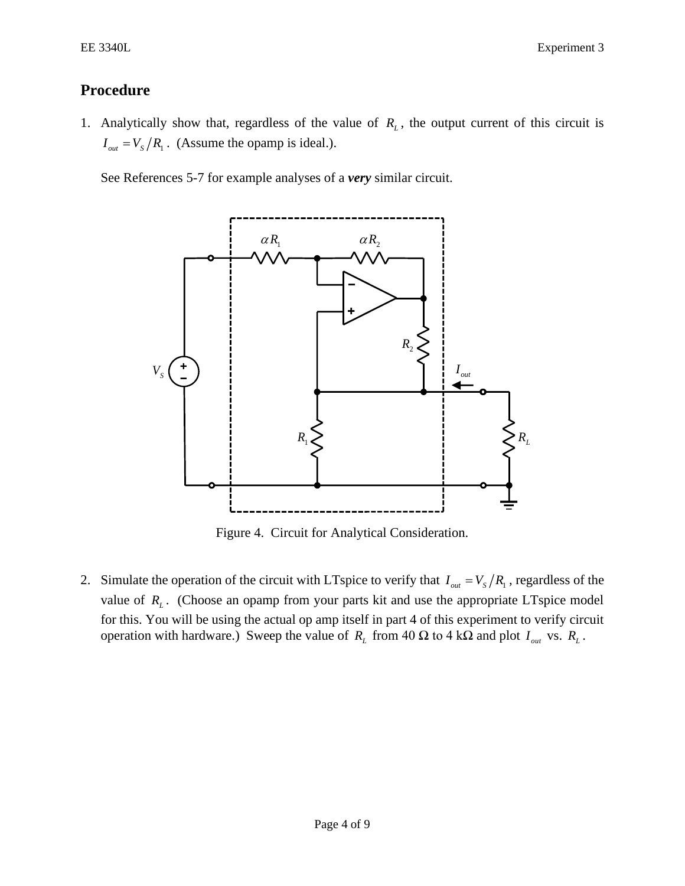EXperiment 3

## **Procedure**

1. Analytically show that, regardless of the value of  $R<sub>L</sub>$ , the output current of this circuit is  $I_{out} = V_s / R_1$ . (Assume the opamp is ideal.).

See References 5-7 for example analyses of a *very* similar circuit.



Figure 4. Circuit for Analytical Consideration.

2. Simulate the operation of the circuit with LTspice to verify that  $I_{out} = V_s / R_1$ , regardless of the value of  $R_L$ . (Choose an opamp from your parts kit and use the appropriate LTspice model for this. You will be using the actual op amp itself in part 4 of this experiment to verify circuit operation with hardware.) Sweep the value of  $R_L$  from 40  $\Omega$  to 4 k $\Omega$  and plot  $I_{out}$  vs.  $R_L$ .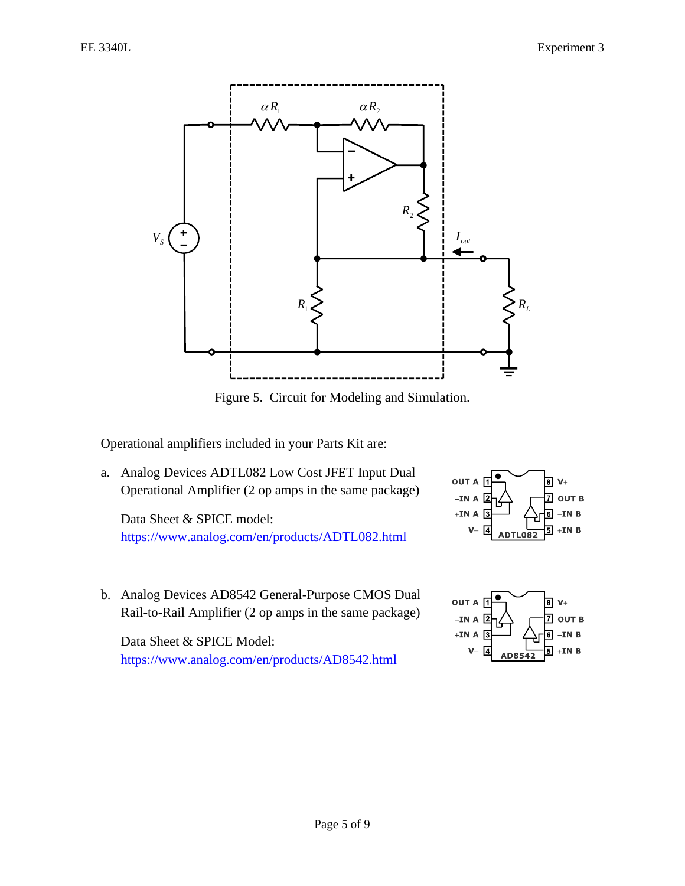

Figure 5. Circuit for Modeling and Simulation.

Operational amplifiers included in your Parts Kit are:

a. Analog Devices ADTL082 Low Cost JFET Input Dual Operational Amplifier (2 op amps in the same package)

Data Sheet & SPICE model: <https://www.analog.com/en/products/ADTL082.html>

b. Analog Devices AD8542 General-Purpose CMOS Dual Rail-to-Rail Amplifier (2 op amps in the same package)

Data Sheet & SPICE Model: <https://www.analog.com/en/products/AD8542.html>



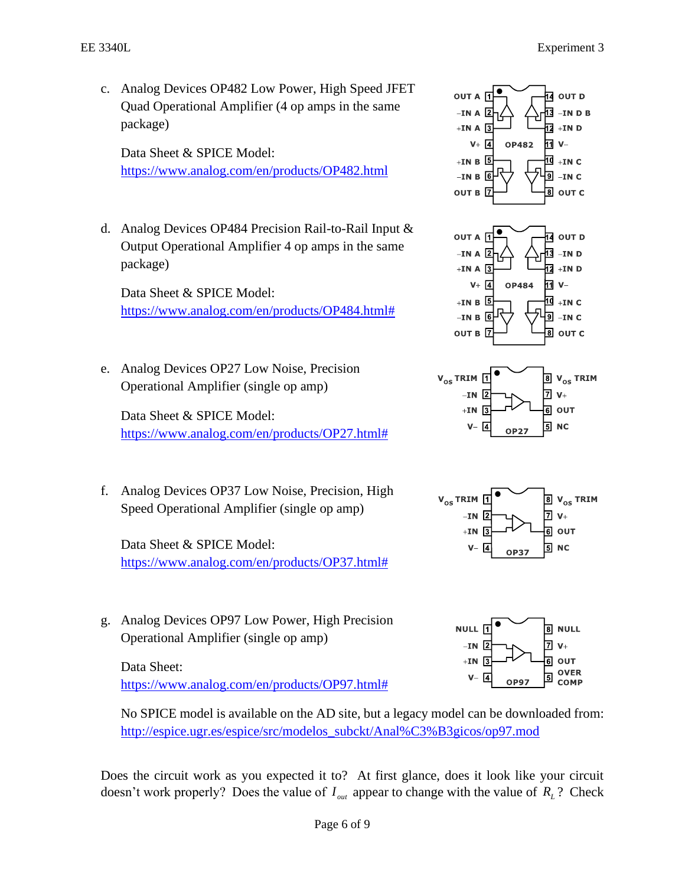c. Analog Devices OP482 Low Power, High Speed JFET Quad Operational Amplifier (4 op amps in the same package)

Data Sheet & SPICE Model: <https://www.analog.com/en/products/OP482.html>

d. Analog Devices OP484 Precision Rail-to-Rail Input & Output Operational Amplifier 4 op amps in the same package)

Data Sheet & SPICE Model: [https://www.analog.com/en/products/OP484.html#](https://www.analog.com/en/products/OP484.html)

e. Analog Devices OP27 Low Noise, Precision Operational Amplifier (single op amp)

Data Sheet & SPICE Model: [https://www.analog.com/en/products/OP27.html#](https://www.analog.com/en/products/OP27.html)

f. Analog Devices OP37 Low Noise, Precision, High Speed Operational Amplifier (single op amp)

Data Sheet & SPICE Model: [https://www.analog.com/en/products/OP37.html#](https://www.analog.com/en/products/OP37.html)

g. Analog Devices OP97 Low Power, High Precision Operational Amplifier (single op amp)

Data Sheet: [https://www.analog.com/en/products/OP97.html#](https://www.analog.com/en/products/OP97.html)

No SPICE model is available on the AD site, but a legacy model can be downloaded from: [http://espice.ugr.es/espice/src/modelos\\_subckt/Anal%C3%B3gicos/op97.mod](http://espice.ugr.es/espice/src/modelos_subckt/Anal%C3%B3gicos/op97.mod)

Does the circuit work as you expected it to? At first glance, does it look like your circuit doesn't work properly? Does the value of  $I_{out}$  appear to change with the value of  $R_L$ ? Check

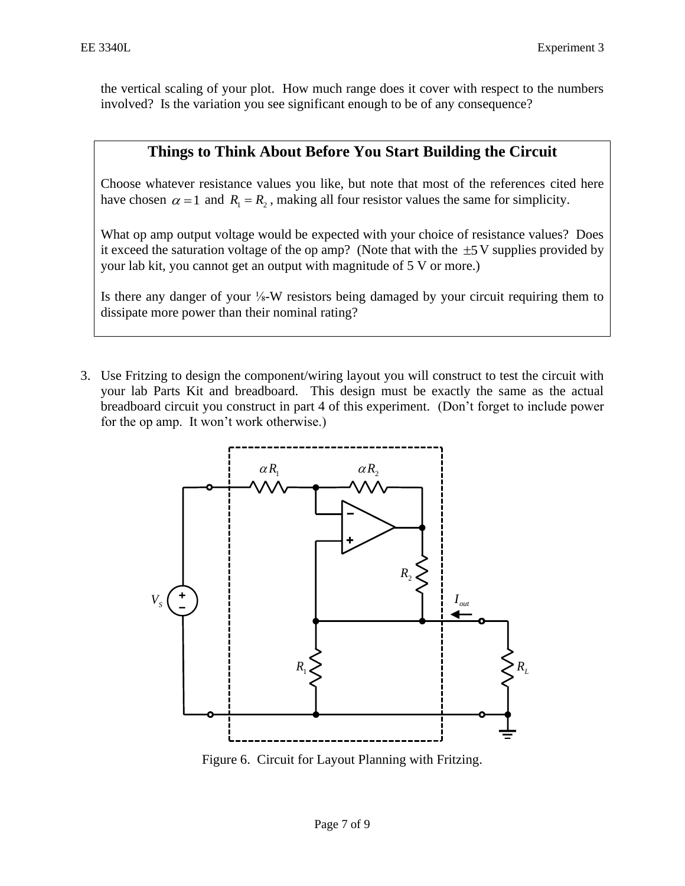the vertical scaling of your plot. How much range does it cover with respect to the numbers involved? Is the variation you see significant enough to be of any consequence?

## **Things to Think About Before You Start Building the Circuit**

Choose whatever resistance values you like, but note that most of the references cited here have chosen  $\alpha = 1$  and  $R_1 = R_2$ , making all four resistor values the same for simplicity.

What op amp output voltage would be expected with your choice of resistance values? Does it exceed the saturation voltage of the op amp? (Note that with the  $\pm$ 5 V supplies provided by your lab kit, you cannot get an output with magnitude of 5 V or more.)

Is there any danger of your ⅛-W resistors being damaged by your circuit requiring them to dissipate more power than their nominal rating?

3. Use Fritzing to design the component/wiring layout you will construct to test the circuit with your lab Parts Kit and breadboard. This design must be exactly the same as the actual breadboard circuit you construct in part 4 of this experiment. (Don't forget to include power for the op amp. It won't work otherwise.)



Figure 6. Circuit for Layout Planning with Fritzing.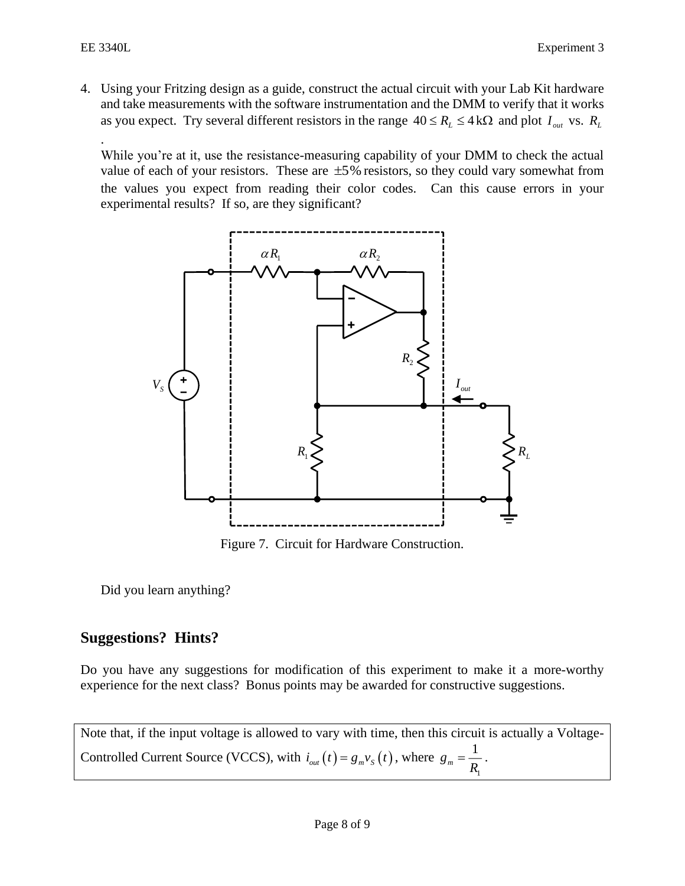4. Using your Fritzing design as a guide, construct the actual circuit with your Lab Kit hardware and take measurements with the software instrumentation and the DMM to verify that it works as you expect. Try several different resistors in the range  $40 \le R_L \le 4 \text{ k}\Omega$  and plot  $I_{out}$  vs.  $R_L$ 

. While you're at it, use the resistance-measuring capability of your DMM to check the actual value of each of your resistors. These are  $\pm 5\%$  resistors, so they could vary somewhat from the values you expect from reading their color codes. Can this cause errors in your experimental results? If so, are they significant?



Figure 7. Circuit for Hardware Construction.

Did you learn anything?

# **Suggestions? Hints?**

Do you have any suggestions for modification of this experiment to make it a more-worthy experience for the next class? Bonus points may be awarded for constructive suggestions.

Note that, if the input voltage is allowed to vary with time, then this circuit is actually a Voltage-Controlled Current Source (VCCS), with  $i_{out}(t) = g_m v_s(t)$ , where 1 1  $g_m = \frac{1}{R}$ .